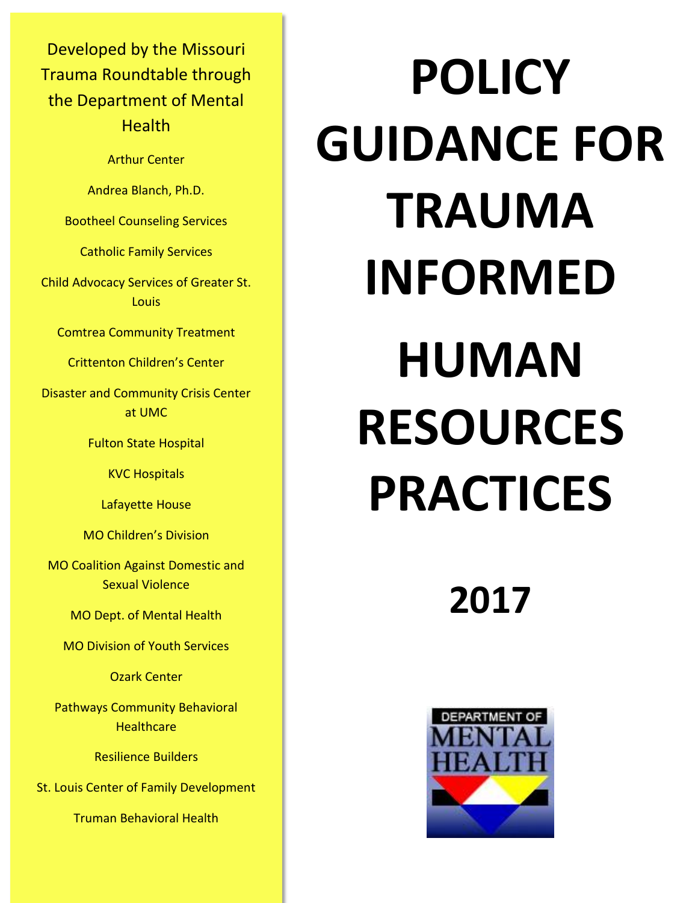Developed by the Missouri Trauma Roundtable through the Department of Mental **Health** 

Arthur Center

Andrea Blanch, Ph.D.

Bootheel Counseling Services

Catholic Family Services

Child Advocacy Services of Greater St. Louis

Comtrea Community Treatment

Crittenton Children's Center

Disaster and Community Crisis Center at UMC

Fulton State Hospital

KVC Hospitals

Lafayette House

MO Children's Division

MO Coalition Against Domestic and Sexual Violence

MO Dept. of Mental Health

MO Division of Youth Services

Ozark Center

Pathways Community Behavioral **Healthcare** 

Resilience Builders

St. Louis Center of Family Development

Truman Behavioral Health

# **POLICY GUIDANCE FOR TRAUMA INFORMED HUMAN RESOURCES PRACTICES**

**2017**

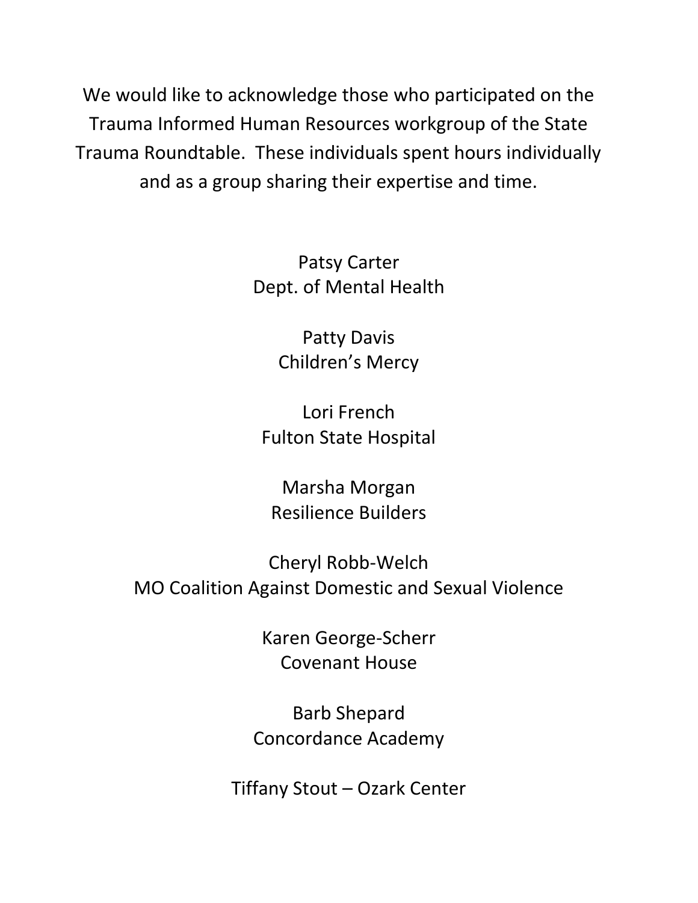We would like to acknowledge those who participated on the Trauma Informed Human Resources workgroup of the State Trauma Roundtable. These individuals spent hours individually and as a group sharing their expertise and time.

> Patsy Carter Dept. of Mental Health

> > Patty Davis Children's Mercy

Lori French Fulton State Hospital

Marsha Morgan Resilience Builders

Cheryl Robb-Welch MO Coalition Against Domestic and Sexual Violence

> Karen George-Scherr Covenant House

Barb Shepard Concordance Academy

Tiffany Stout – Ozark Center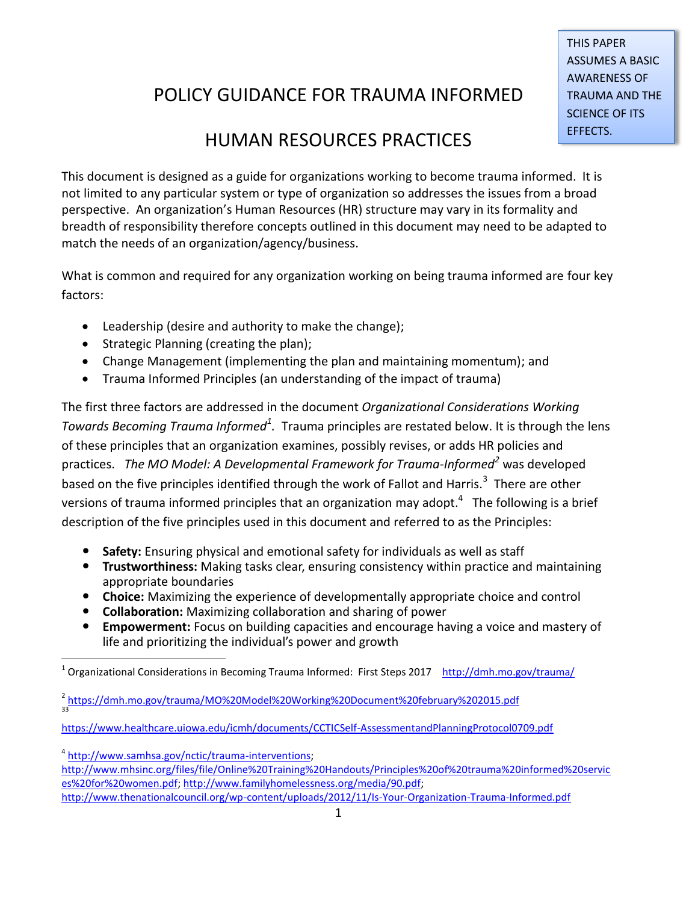### THIS PAPER ASSUMES A BASIC AWARENESS OF TRAUMA AND THE SCIENCE OF ITS EFFECTS.

## POLICY GUIDANCE FOR TRAUMA INFORMED

## HUMAN RESOURCES PRACTICES

This document is designed as a guide for organizations working to become trauma informed. It is not limited to any particular system or type of organization so addresses the issues from a broad perspective. An organization's Human Resources (HR) structure may vary in its formality and breadth of responsibility therefore concepts outlined in this document may need to be adapted to match the needs of an organization/agency/business.

What is common and required for any organization working on being trauma informed are four key factors:

- Leadership (desire and authority to make the change);
- Strategic Planning (creating the plan);
- Change Management (implementing the plan and maintaining momentum); and
- Trauma Informed Principles (an understanding of the impact of trauma)

The first three factors are addressed in the document *Organizational Considerations Working Towards Becoming Trauma Informed<sup>1</sup>.* Trauma principles are restated below. It is through the lens of these principles that an organization examines, possibly revises, or adds HR policies and practices. *The MO Model: A Developmental Framework for Trauma-Informed<sup>2</sup>* was developed based on the five principles identified through the work of Fallot and Harris.<sup>3</sup> There are other versions of trauma informed principles that an organization may adopt.<sup>4</sup> The following is a brief description of the five principles used in this document and referred to as the Principles:

- **Safety:** Ensuring physical and emotional safety for individuals as well as staff
- **Trustworthiness:** Making tasks clear, ensuring consistency within practice and maintaining appropriate boundaries
- **Choice:** Maximizing the experience of developmentally appropriate choice and control
- **Collaboration:** Maximizing collaboration and sharing of power
- **Empowerment:** Focus on building capacities and encourage having a voice and mastery of life and prioritizing the individual's power and growth

<sup>4</sup> [http://www.samhsa.gov/nctic/trauma-interventions;](http://www.samhsa.gov/nctic/trauma-interventions)

 $\overline{\phantom{a}}$ 1 Organizational Considerations in Becoming Trauma Informed: First Steps 2017 <http://dmh.mo.gov/trauma/>

<sup>&</sup>lt;sup>2</sup> <https://dmh.mo.gov/trauma/MO%20Model%20Working%20Document%20february%202015.pdf> 33

<https://www.healthcare.uiowa.edu/icmh/documents/CCTICSelf-AssessmentandPlanningProtocol0709.pdf>

[http://www.mhsinc.org/files/file/Online%20Training%20Handouts/Principles%20of%20trauma%20informed%20servic](http://www.mhsinc.org/files/file/Online%20Training%20Handouts/Principles%20of%20trauma%20informed%20services%20for%20women.pdf) [es%20for%20women.pdf;](http://www.mhsinc.org/files/file/Online%20Training%20Handouts/Principles%20of%20trauma%20informed%20services%20for%20women.pdf) [http://www.familyhomelessness.org/media/90.pdf;](http://www.familyhomelessness.org/media/90.pdf)  <http://www.thenationalcouncil.org/wp-content/uploads/2012/11/Is-Your-Organization-Trauma-Informed.pdf>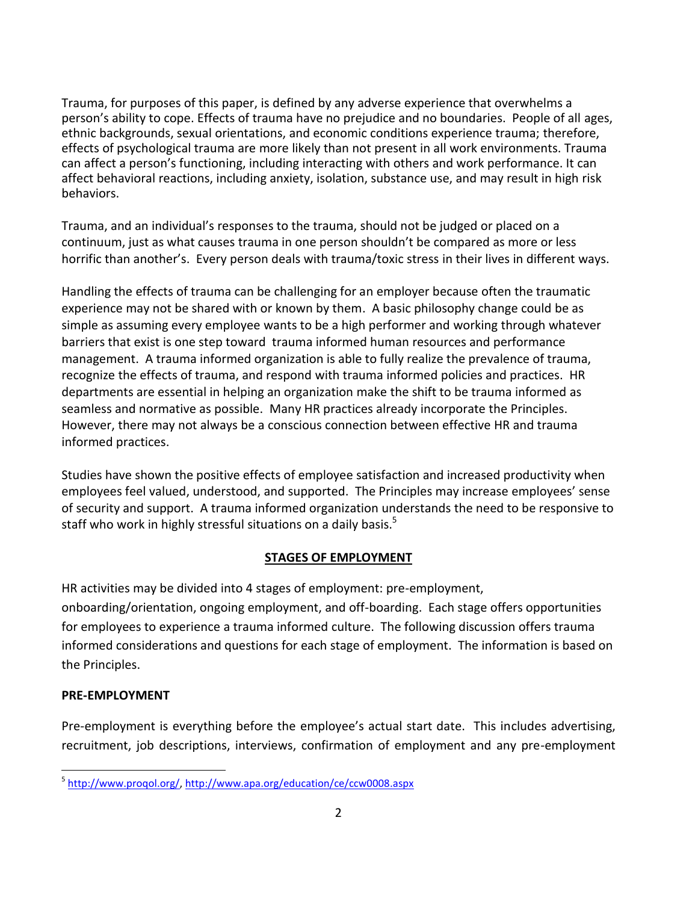Trauma, for purposes of this paper, is defined by any adverse experience that overwhelms a person's ability to cope. Effects of trauma have no prejudice and no boundaries. People of all ages, ethnic backgrounds, sexual orientations, and economic conditions experience trauma; therefore, effects of psychological trauma are more likely than not present in all work environments. Trauma can affect a person's functioning, including interacting with others and work performance. It can affect behavioral reactions, including anxiety, isolation, substance use, and may result in high risk behaviors.

Trauma, and an individual's responses to the trauma, should not be judged or placed on a continuum, just as what causes trauma in one person shouldn't be compared as more or less horrific than another's. Every person deals with trauma/toxic stress in their lives in different ways.

Handling the effects of trauma can be challenging for an employer because often the traumatic experience may not be shared with or known by them. A basic philosophy change could be as simple as assuming every employee wants to be a high performer and working through whatever barriers that exist is one step toward trauma informed human resources and performance management. A trauma informed organization is able to fully realize the prevalence of trauma, recognize the effects of trauma, and respond with trauma informed policies and practices. HR departments are essential in helping an organization make the shift to be trauma informed as seamless and normative as possible. Many HR practices already incorporate the Principles. However, there may not always be a conscious connection between effective HR and trauma informed practices.

Studies have shown the positive effects of employee satisfaction and increased productivity when employees feel valued, understood, and supported. The Principles may increase employees' sense of security and support. A trauma informed organization understands the need to be responsive to staff who work in highly stressful situations on a daily basis.<sup>5</sup>

#### **STAGES OF EMPLOYMENT**

HR activities may be divided into 4 stages of employment: pre-employment,

onboarding/orientation, ongoing employment, and off-boarding. Each stage offers opportunities for employees to experience a trauma informed culture. The following discussion offers trauma informed considerations and questions for each stage of employment. The information is based on the Principles.

#### **PRE-EMPLOYMENT**

Pre-employment is everything before the employee's actual start date. This includes advertising, recruitment, job descriptions, interviews, confirmation of employment and any pre-employment

l <sup>5</sup> [http://www.proqol.org/,](http://www.proqol.org/)<http://www.apa.org/education/ce/ccw0008.aspx>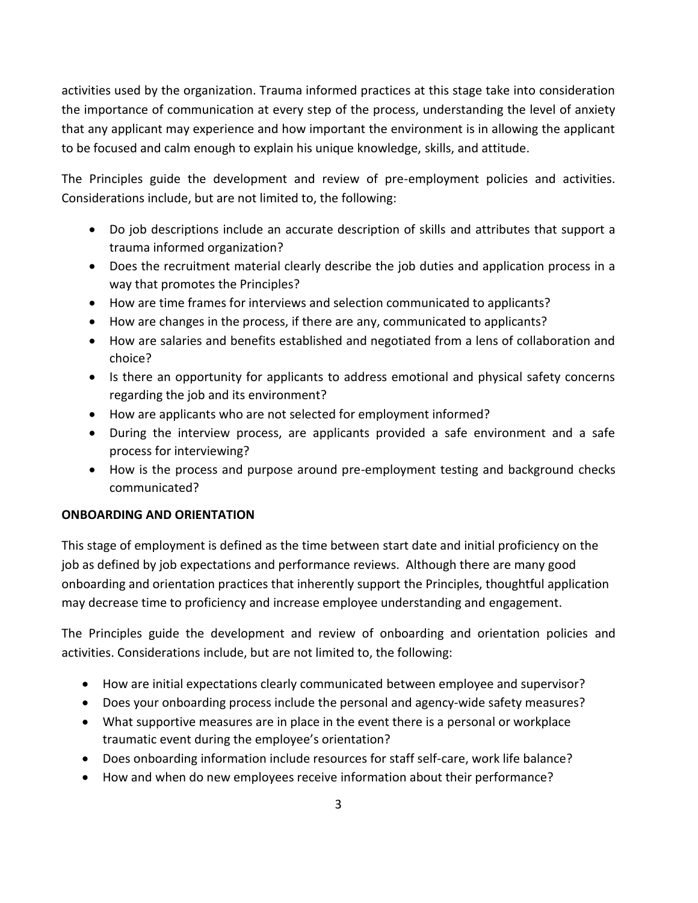activities used by the organization. Trauma informed practices at this stage take into consideration the importance of communication at every step of the process, understanding the level of anxiety that any applicant may experience and how important the environment is in allowing the applicant to be focused and calm enough to explain his unique knowledge, skills, and attitude.

The Principles guide the development and review of pre-employment policies and activities. Considerations include, but are not limited to, the following:

- Do job descriptions include an accurate description of skills and attributes that support a trauma informed organization?
- Does the recruitment material clearly describe the job duties and application process in a way that promotes the Principles?
- How are time frames for interviews and selection communicated to applicants?
- How are changes in the process, if there are any, communicated to applicants?
- How are salaries and benefits established and negotiated from a lens of collaboration and choice?
- Is there an opportunity for applicants to address emotional and physical safety concerns regarding the job and its environment?
- How are applicants who are not selected for employment informed?
- During the interview process, are applicants provided a safe environment and a safe process for interviewing?
- How is the process and purpose around pre-employment testing and background checks communicated?

#### **ONBOARDING AND ORIENTATION**

This stage of employment is defined as the time between start date and initial proficiency on the job as defined by job expectations and performance reviews. Although there are many good onboarding and orientation practices that inherently support the Principles, thoughtful application may decrease time to proficiency and increase employee understanding and engagement.

The Principles guide the development and review of onboarding and orientation policies and activities. Considerations include, but are not limited to, the following:

- How are initial expectations clearly communicated between employee and supervisor?
- Does your onboarding process include the personal and agency-wide safety measures?
- What supportive measures are in place in the event there is a personal or workplace traumatic event during the employee's orientation?
- Does onboarding information include resources for staff self-care, work life balance?
- How and when do new employees receive information about their performance?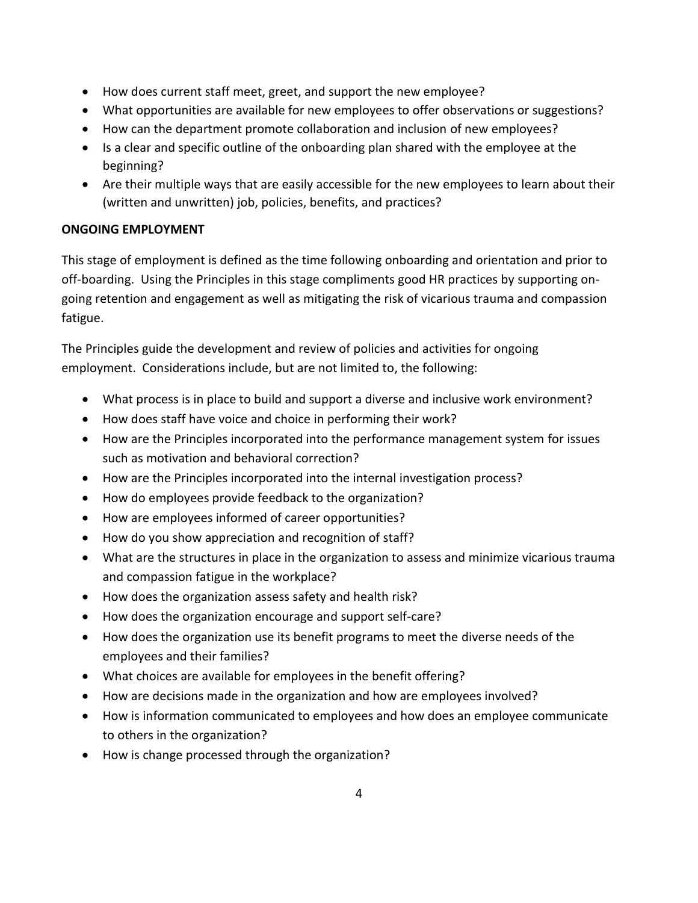- How does current staff meet, greet, and support the new employee?
- What opportunities are available for new employees to offer observations or suggestions?
- How can the department promote collaboration and inclusion of new employees?
- Is a clear and specific outline of the onboarding plan shared with the employee at the beginning?
- Are their multiple ways that are easily accessible for the new employees to learn about their (written and unwritten) job, policies, benefits, and practices?

#### **ONGOING EMPLOYMENT**

This stage of employment is defined as the time following onboarding and orientation and prior to off-boarding. Using the Principles in this stage compliments good HR practices by supporting ongoing retention and engagement as well as mitigating the risk of vicarious trauma and compassion fatigue.

The Principles guide the development and review of policies and activities for ongoing employment. Considerations include, but are not limited to, the following:

- What process is in place to build and support a diverse and inclusive work environment?
- How does staff have voice and choice in performing their work?
- How are the Principles incorporated into the performance management system for issues such as motivation and behavioral correction?
- How are the Principles incorporated into the internal investigation process?
- How do employees provide feedback to the organization?
- How are employees informed of career opportunities?
- How do you show appreciation and recognition of staff?
- What are the structures in place in the organization to assess and minimize vicarious trauma and compassion fatigue in the workplace?
- How does the organization assess safety and health risk?
- How does the organization encourage and support self-care?
- How does the organization use its benefit programs to meet the diverse needs of the employees and their families?
- What choices are available for employees in the benefit offering?
- How are decisions made in the organization and how are employees involved?
- How is information communicated to employees and how does an employee communicate to others in the organization?
- How is change processed through the organization?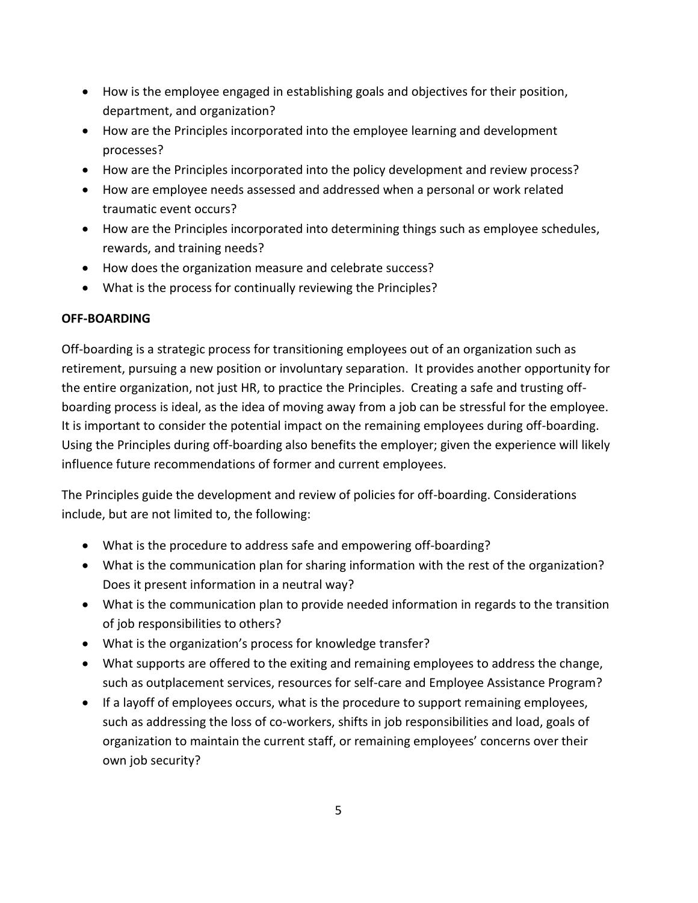- How is the employee engaged in establishing goals and objectives for their position, department, and organization?
- How are the Principles incorporated into the employee learning and development processes?
- How are the Principles incorporated into the policy development and review process?
- How are employee needs assessed and addressed when a personal or work related traumatic event occurs?
- How are the Principles incorporated into determining things such as employee schedules, rewards, and training needs?
- How does the organization measure and celebrate success?
- What is the process for continually reviewing the Principles?

#### **OFF-BOARDING**

Off-boarding is a strategic process for transitioning employees out of an organization such as retirement, pursuing a new position or involuntary separation. It provides another opportunity for the entire organization, not just HR, to practice the Principles. Creating a safe and trusting offboarding process is ideal, as the idea of moving away from a job can be stressful for the employee. It is important to consider the potential impact on the remaining employees during off-boarding. Using the Principles during off-boarding also benefits the employer; given the experience will likely influence future recommendations of former and current employees.

The Principles guide the development and review of policies for off-boarding. Considerations include, but are not limited to, the following:

- What is the procedure to address safe and empowering off-boarding?
- What is the communication plan for sharing information with the rest of the organization? Does it present information in a neutral way?
- What is the communication plan to provide needed information in regards to the transition of job responsibilities to others?
- What is the organization's process for knowledge transfer?
- What supports are offered to the exiting and remaining employees to address the change, such as outplacement services, resources for self-care and Employee Assistance Program?
- If a layoff of employees occurs, what is the procedure to support remaining employees, such as addressing the loss of co-workers, shifts in job responsibilities and load, goals of organization to maintain the current staff, or remaining employees' concerns over their own job security?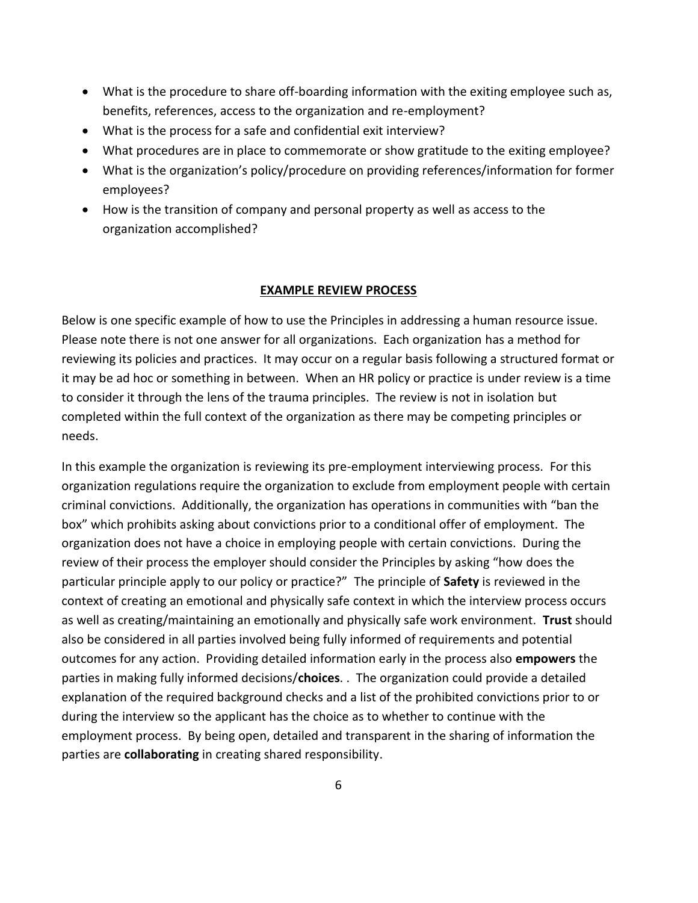- What is the procedure to share off-boarding information with the exiting employee such as, benefits, references, access to the organization and re-employment?
- What is the process for a safe and confidential exit interview?
- What procedures are in place to commemorate or show gratitude to the exiting employee?
- What is the organization's policy/procedure on providing references/information for former employees?
- How is the transition of company and personal property as well as access to the organization accomplished?

#### **EXAMPLE REVIEW PROCESS**

Below is one specific example of how to use the Principles in addressing a human resource issue. Please note there is not one answer for all organizations. Each organization has a method for reviewing its policies and practices. It may occur on a regular basis following a structured format or it may be ad hoc or something in between. When an HR policy or practice is under review is a time to consider it through the lens of the trauma principles. The review is not in isolation but completed within the full context of the organization as there may be competing principles or needs.

In this example the organization is reviewing its pre-employment interviewing process. For this organization regulations require the organization to exclude from employment people with certain criminal convictions. Additionally, the organization has operations in communities with "ban the box" which prohibits asking about convictions prior to a conditional offer of employment. The organization does not have a choice in employing people with certain convictions. During the review of their process the employer should consider the Principles by asking "how does the particular principle apply to our policy or practice?" The principle of **Safety** is reviewed in the context of creating an emotional and physically safe context in which the interview process occurs as well as creating/maintaining an emotionally and physically safe work environment. **Trust** should also be considered in all parties involved being fully informed of requirements and potential outcomes for any action. Providing detailed information early in the process also **empowers** the parties in making fully informed decisions/**choices**. . The organization could provide a detailed explanation of the required background checks and a list of the prohibited convictions prior to or during the interview so the applicant has the choice as to whether to continue with the employment process. By being open, detailed and transparent in the sharing of information the parties are **collaborating** in creating shared responsibility.